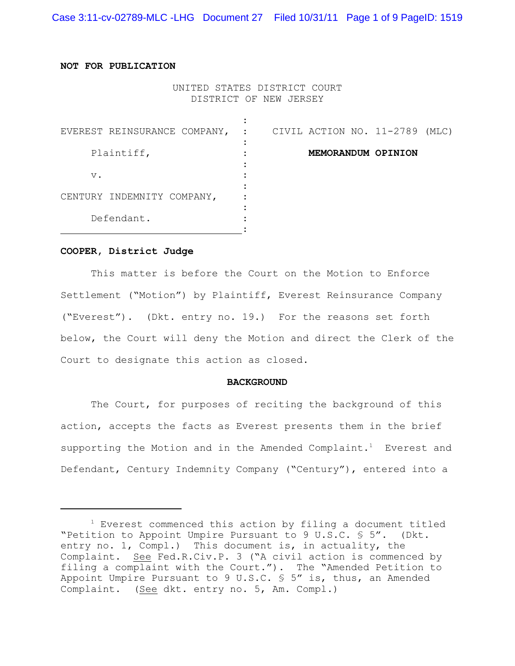Case 3:11-cv-02789-MLC -LHG Document 27 Filed 10/31/11 Page 1 of 9 PageID: 1519

## **NOT FOR PUBLICATION**

UNITED STATES DISTRICT COURT DISTRICT OF NEW JERSEY

| EVEREST REINSURANCE COMPANY, : |  |  | CIVIL ACTION NO. 11-2789 | (MLC) |
|--------------------------------|--|--|--------------------------|-------|
| Plaintiff,                     |  |  | MEMORANDUM OPINION       |       |
| $V$ .                          |  |  |                          |       |
| CENTURY INDEMNITY COMPANY,     |  |  |                          |       |
| Defendant.                     |  |  |                          |       |

### **COOPER, District Judge**

This matter is before the Court on the Motion to Enforce Settlement ("Motion") by Plaintiff, Everest Reinsurance Company ("Everest"). (Dkt. entry no. 19.) For the reasons set forth below, the Court will deny the Motion and direct the Clerk of the Court to designate this action as closed.

#### **BACKGROUND**

The Court, for purposes of reciting the background of this action, accepts the facts as Everest presents them in the brief supporting the Motion and in the Amended Complaint.<sup>1</sup> Everest and Defendant, Century Indemnity Company ("Century"), entered into a

 $1$  Everest commenced this action by filing a document titled "Petition to Appoint Umpire Pursuant to 9 U.S.C. § 5". (Dkt. entry no. 1, Compl.) This document is, in actuality, the Complaint. See Fed.R.Civ.P. 3 ("A civil action is commenced by filing a complaint with the Court."). The "Amended Petition to Appoint Umpire Pursuant to 9 U.S.C.  $\frac{1}{5}$  5" is, thus, an Amended Complaint. (See dkt. entry no. 5, Am. Compl.)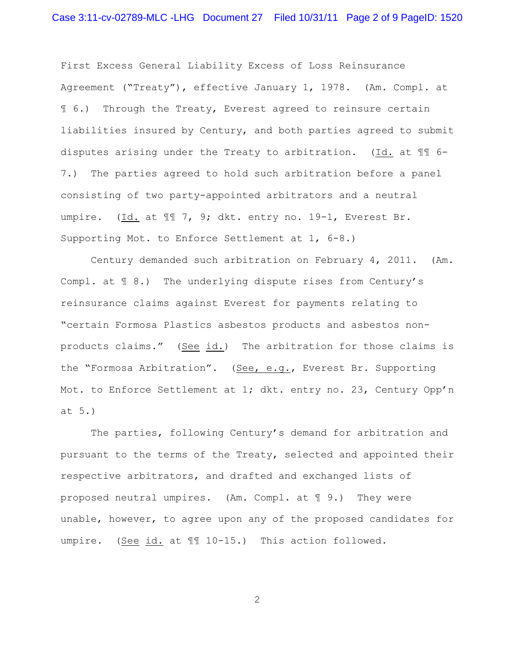First Excess General Liability Excess of Loss Reinsurance Agreement ("Treaty"), effective January 1, 1978. (Am. Compl. at ¶ 6.) Through the Treaty, Everest agreed to reinsure certain liabilities insured by Century, and both parties agreed to submit disputes arising under the Treaty to arbitration. (Id. at ¶¶ 6- 7.) The parties agreed to hold such arbitration before a panel consisting of two party-appointed arbitrators and a neutral umpire. (Id. at  $\mathbb{I}$  7, 9; dkt. entry no. 19-1, Everest Br. Supporting Mot. to Enforce Settlement at 1, 6-8.)

Century demanded such arbitration on February 4, 2011. (Am. Compl. at ¶ 8.) The underlying dispute rises from Century's reinsurance claims against Everest for payments relating to "certain Formosa Plastics asbestos products and asbestos nonproducts claims." (See id.) The arbitration for those claims is the "Formosa Arbitration". (See, e.g., Everest Br. Supporting Mot. to Enforce Settlement at 1; dkt. entry no. 23, Century Opp'n at 5.)

The parties, following Century's demand for arbitration and pursuant to the terms of the Treaty, selected and appointed their respective arbitrators, and drafted and exchanged lists of proposed neutral umpires. (Am. Compl. at ¶ 9.) They were unable, however, to agree upon any of the proposed candidates for umpire. (See id. at  $\mathbb{II}$  10-15.) This action followed.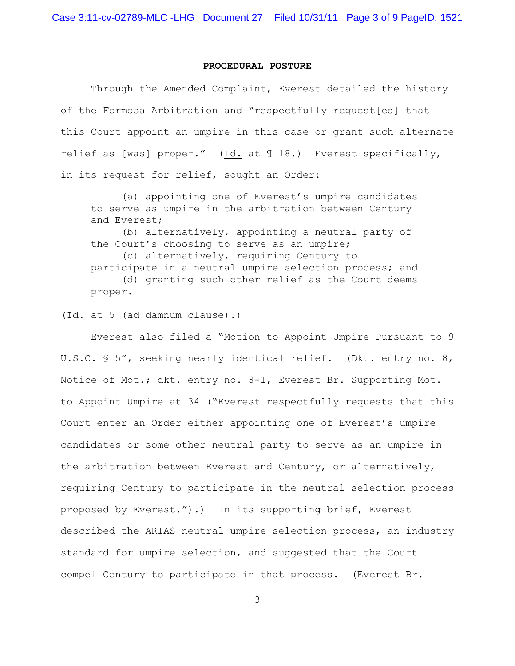## **PROCEDURAL POSTURE**

Through the Amended Complaint, Everest detailed the history of the Formosa Arbitration and "respectfully request[ed] that this Court appoint an umpire in this case or grant such alternate relief as [was] proper." (Id. at ¶ 18.) Everest specifically, in its request for relief, sought an Order:

(a) appointing one of Everest's umpire candidates to serve as umpire in the arbitration between Century and Everest;

(b) alternatively, appointing a neutral party of the Court's choosing to serve as an umpire; (c) alternatively, requiring Century to participate in a neutral umpire selection process; and (d) granting such other relief as the Court deems proper.

(Id. at 5 (ad damnum clause).)

Everest also filed a "Motion to Appoint Umpire Pursuant to 9 U.S.C. § 5", seeking nearly identical relief. (Dkt. entry no. 8, Notice of Mot.; dkt. entry no. 8-1, Everest Br. Supporting Mot. to Appoint Umpire at 34 ("Everest respectfully requests that this Court enter an Order either appointing one of Everest's umpire candidates or some other neutral party to serve as an umpire in the arbitration between Everest and Century, or alternatively, requiring Century to participate in the neutral selection process proposed by Everest.").) In its supporting brief, Everest described the ARIAS neutral umpire selection process, an industry standard for umpire selection, and suggested that the Court compel Century to participate in that process. (Everest Br.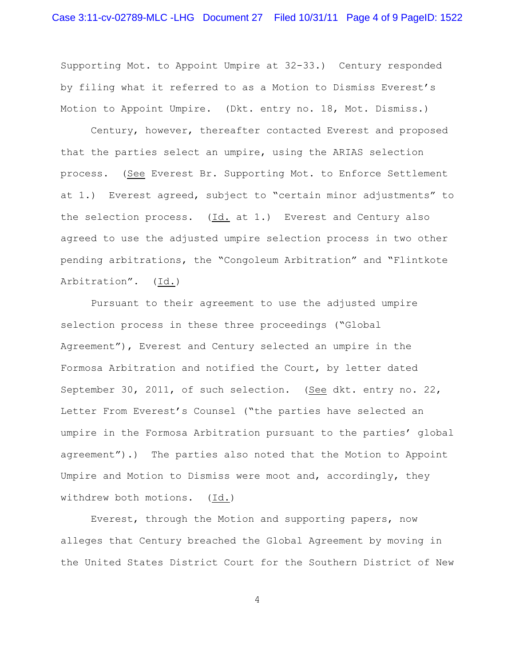Supporting Mot. to Appoint Umpire at 32-33.) Century responded by filing what it referred to as a Motion to Dismiss Everest's Motion to Appoint Umpire. (Dkt. entry no. 18, Mot. Dismiss.)

Century, however, thereafter contacted Everest and proposed that the parties select an umpire, using the ARIAS selection process. (See Everest Br. Supporting Mot. to Enforce Settlement at 1.) Everest agreed, subject to "certain minor adjustments" to the selection process. (Id. at 1.) Everest and Century also agreed to use the adjusted umpire selection process in two other pending arbitrations, the "Congoleum Arbitration" and "Flintkote Arbitration". (Id.)

Pursuant to their agreement to use the adjusted umpire selection process in these three proceedings ("Global Agreement"), Everest and Century selected an umpire in the Formosa Arbitration and notified the Court, by letter dated September 30, 2011, of such selection. (See dkt. entry no. 22, Letter From Everest's Counsel ("the parties have selected an umpire in the Formosa Arbitration pursuant to the parties' global agreement").) The parties also noted that the Motion to Appoint Umpire and Motion to Dismiss were moot and, accordingly, they withdrew both motions. (Id.)

Everest, through the Motion and supporting papers, now alleges that Century breached the Global Agreement by moving in the United States District Court for the Southern District of New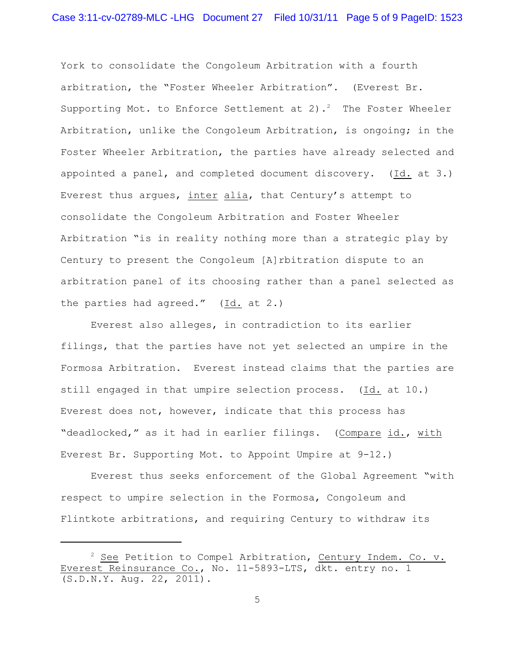York to consolidate the Congoleum Arbitration with a fourth arbitration, the "Foster Wheeler Arbitration". (Everest Br. Supporting Mot. to Enforce Settlement at 2).<sup>2</sup> The Foster Wheeler Arbitration, unlike the Congoleum Arbitration, is ongoing; in the Foster Wheeler Arbitration, the parties have already selected and appointed a panel, and completed document discovery. (Id. at 3.) Everest thus argues, inter alia, that Century's attempt to consolidate the Congoleum Arbitration and Foster Wheeler Arbitration "is in reality nothing more than a strategic play by Century to present the Congoleum [A]rbitration dispute to an arbitration panel of its choosing rather than a panel selected as the parties had agreed." (Id. at 2.)

Everest also alleges, in contradiction to its earlier filings, that the parties have not yet selected an umpire in the Formosa Arbitration. Everest instead claims that the parties are still engaged in that umpire selection process. (Id. at 10.) Everest does not, however, indicate that this process has "deadlocked," as it had in earlier filings. (Compare id., with Everest Br. Supporting Mot. to Appoint Umpire at 9-12.)

Everest thus seeks enforcement of the Global Agreement "with respect to umpire selection in the Formosa, Congoleum and Flintkote arbitrations, and requiring Century to withdraw its

 $2$  See Petition to Compel Arbitration, Century Indem. Co. v. Everest Reinsurance Co., No. 11-5893-LTS, dkt. entry no. 1 (S.D.N.Y. Aug. 22, 2011).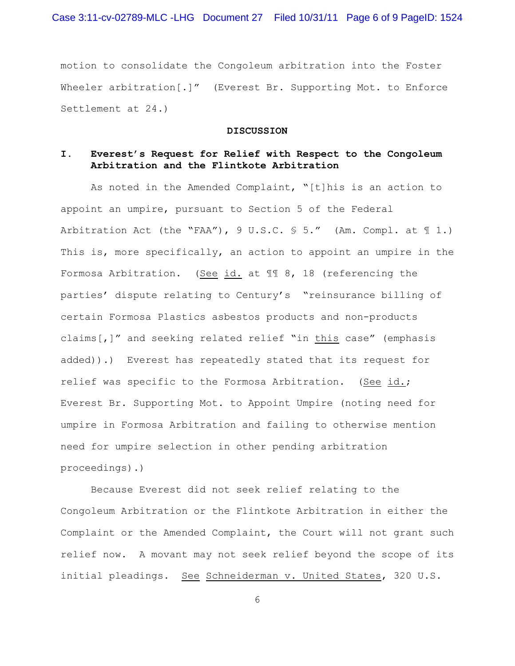motion to consolidate the Congoleum arbitration into the Foster Wheeler arbitration[.]" (Everest Br. Supporting Mot. to Enforce Settlement at 24.)

#### **DISCUSSION**

# **I. Everest's Request for Relief with Respect to the Congoleum Arbitration and the Flintkote Arbitration**

As noted in the Amended Complaint, "[t]his is an action to appoint an umpire, pursuant to Section 5 of the Federal Arbitration Act (the "FAA"),  $9 \text{ U.S.C. } $ 5.$ " (Am. Compl. at  $\text{\textsterling} 1.$ ) This is, more specifically, an action to appoint an umpire in the Formosa Arbitration. (See id. at ¶¶ 8, 18 (referencing the parties' dispute relating to Century's "reinsurance billing of certain Formosa Plastics asbestos products and non-products claims[,]" and seeking related relief "in this case" (emphasis added)).) Everest has repeatedly stated that its request for relief was specific to the Formosa Arbitration. (See id.; Everest Br. Supporting Mot. to Appoint Umpire (noting need for umpire in Formosa Arbitration and failing to otherwise mention need for umpire selection in other pending arbitration proceedings).)

Because Everest did not seek relief relating to the Congoleum Arbitration or the Flintkote Arbitration in either the Complaint or the Amended Complaint, the Court will not grant such relief now. A movant may not seek relief beyond the scope of its initial pleadings. See Schneiderman v. United States, 320 U.S.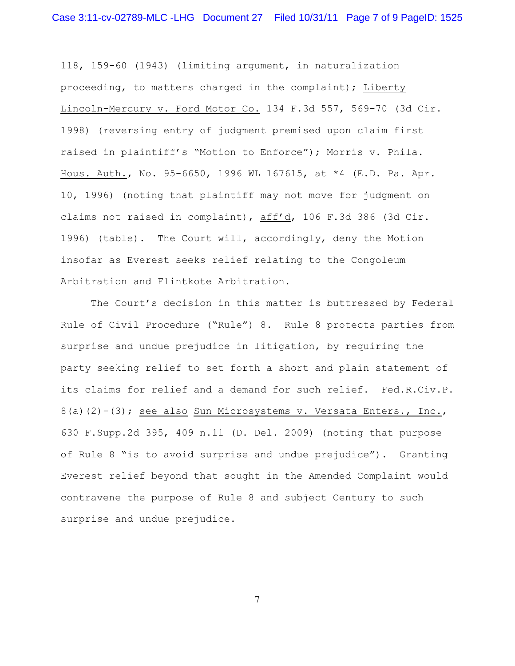118, 159-60 (1943) (limiting argument, in naturalization proceeding, to matters charged in the complaint); Liberty Lincoln-Mercury v. Ford Motor Co. 134 F.3d 557, 569-70 (3d Cir. 1998) (reversing entry of judgment premised upon claim first raised in plaintiff's "Motion to Enforce"); Morris v. Phila. Hous. Auth., No. 95-6650, 1996 WL 167615, at \*4 (E.D. Pa. Apr. 10, 1996) (noting that plaintiff may not move for judgment on claims not raised in complaint), aff'd, 106 F.3d 386 (3d Cir. 1996) (table). The Court will, accordingly, deny the Motion insofar as Everest seeks relief relating to the Congoleum Arbitration and Flintkote Arbitration.

The Court's decision in this matter is buttressed by Federal Rule of Civil Procedure ("Rule") 8. Rule 8 protects parties from surprise and undue prejudice in litigation, by requiring the party seeking relief to set forth a short and plain statement of its claims for relief and a demand for such relief. Fed.R.Civ.P. 8(a)(2)-(3); see also Sun Microsystems v. Versata Enters., Inc., 630 F.Supp.2d 395, 409 n.11 (D. Del. 2009) (noting that purpose of Rule 8 "is to avoid surprise and undue prejudice"). Granting Everest relief beyond that sought in the Amended Complaint would contravene the purpose of Rule 8 and subject Century to such surprise and undue prejudice.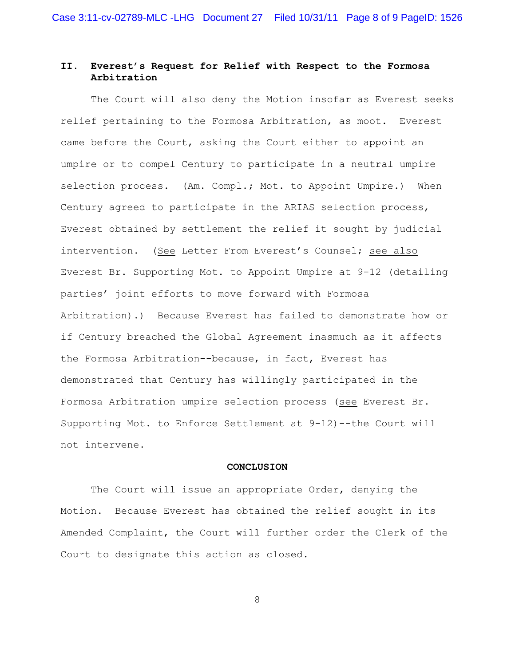# **II. Everest's Request for Relief with Respect to the Formosa Arbitration**

The Court will also deny the Motion insofar as Everest seeks relief pertaining to the Formosa Arbitration, as moot. Everest came before the Court, asking the Court either to appoint an umpire or to compel Century to participate in a neutral umpire selection process. (Am. Compl.; Mot. to Appoint Umpire.) When Century agreed to participate in the ARIAS selection process, Everest obtained by settlement the relief it sought by judicial intervention. (See Letter From Everest's Counsel; see also Everest Br. Supporting Mot. to Appoint Umpire at 9-12 (detailing parties' joint efforts to move forward with Formosa Arbitration).) Because Everest has failed to demonstrate how or if Century breached the Global Agreement inasmuch as it affects the Formosa Arbitration--because, in fact, Everest has demonstrated that Century has willingly participated in the Formosa Arbitration umpire selection process (see Everest Br. Supporting Mot. to Enforce Settlement at 9-12)--the Court will not intervene.

### **CONCLUSION**

The Court will issue an appropriate Order, denying the Motion. Because Everest has obtained the relief sought in its Amended Complaint, the Court will further order the Clerk of the Court to designate this action as closed.